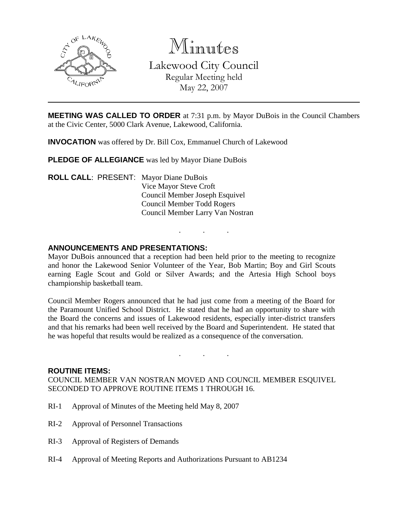

Minutes

Lakewood City Council Regular Meeting held May 22, 2007

**MEETING WAS CALLED TO ORDER** at 7:31 p.m. by Mayor DuBois in the Council Chambers at the Civic Center, 5000 Clark Avenue, Lakewood, California.

**INVOCATION** was offered by Dr. Bill Cox, Emmanuel Church of Lakewood

**PLEDGE OF ALLEGIANCE** was led by Mayor Diane DuBois

**ROLL CALL**: PRESENT: Mayor Diane DuBois Vice Mayor Steve Croft Council Member Joseph Esquivel Council Member Todd Rogers Council Member Larry Van Nostran

### **ANNOUNCEMENTS AND PRESENTATIONS:**

Mayor DuBois announced that a reception had been held prior to the meeting to recognize and honor the Lakewood Senior Volunteer of the Year, Bob Martin; Boy and Girl Scouts earning Eagle Scout and Gold or Silver Awards; and the Artesia High School boys championship basketball team.

. . .

Council Member Rogers announced that he had just come from a meeting of the Board for the Paramount Unified School District. He stated that he had an opportunity to share with the Board the concerns and issues of Lakewood residents, especially inter-district transfers and that his remarks had been well received by the Board and Superintendent. He stated that he was hopeful that results would be realized as a consequence of the conversation.

. . .

#### **ROUTINE ITEMS:**

COUNCIL MEMBER VAN NOSTRAN MOVED AND COUNCIL MEMBER ESQUIVEL SECONDED TO APPROVE ROUTINE ITEMS 1 THROUGH 16.

- RI-1 Approval of Minutes of the Meeting held May 8, 2007
- RI-2 Approval of Personnel Transactions
- RI-3 Approval of Registers of Demands
- RI-4 Approval of Meeting Reports and Authorizations Pursuant to AB1234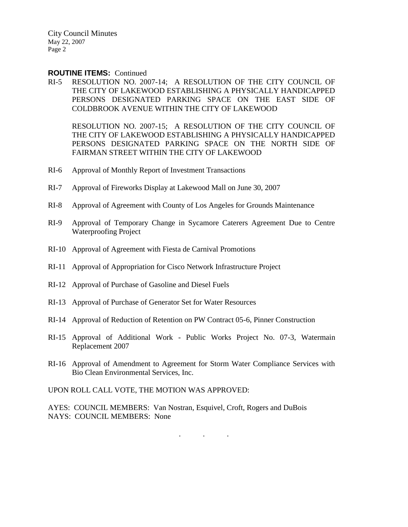#### **ROUTINE ITEMS:** Continued

RI-5 RESOLUTION NO. 2007-14; A RESOLUTION OF THE CITY COUNCIL OF THE CITY OF LAKEWOOD ESTABLISHING A PHYSICALLY HANDICAPPED PERSONS DESIGNATED PARKING SPACE ON THE EAST SIDE OF COLDBROOK AVENUE WITHIN THE CITY OF LAKEWOOD

RESOLUTION NO. 2007-15; A RESOLUTION OF THE CITY COUNCIL OF THE CITY OF LAKEWOOD ESTABLISHING A PHYSICALLY HANDICAPPED PERSONS DESIGNATED PARKING SPACE ON THE NORTH SIDE OF FAIRMAN STREET WITHIN THE CITY OF LAKEWOOD

- RI-6 Approval of Monthly Report of Investment Transactions
- RI-7 Approval of Fireworks Display at Lakewood Mall on June 30, 2007
- RI-8 Approval of Agreement with County of Los Angeles for Grounds Maintenance
- RI-9 Approval of Temporary Change in Sycamore Caterers Agreement Due to Centre Waterproofing Project
- RI-10 Approval of Agreement with Fiesta de Carnival Promotions
- RI-11 Approval of Appropriation for Cisco Network Infrastructure Project
- RI-12 Approval of Purchase of Gasoline and Diesel Fuels
- RI-13 Approval of Purchase of Generator Set for Water Resources
- RI-14 Approval of Reduction of Retention on PW Contract 05-6, Pinner Construction
- RI-15 Approval of Additional Work Public Works Project No. 07-3, Watermain Replacement 2007
- RI-16 Approval of Amendment to Agreement for Storm Water Compliance Services with Bio Clean Environmental Services, Inc.

UPON ROLL CALL VOTE, THE MOTION WAS APPROVED:

AYES: COUNCIL MEMBERS: Van Nostran, Esquivel, Croft, Rogers and DuBois NAYS: COUNCIL MEMBERS: None

. . .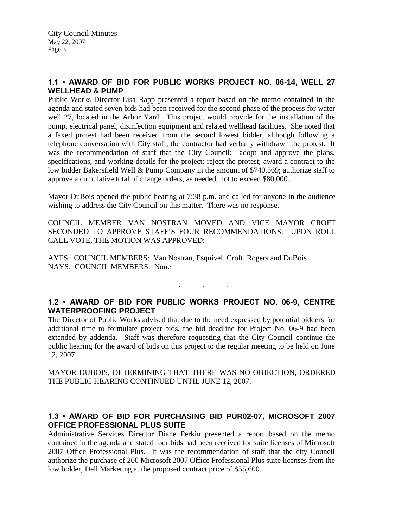# **1.1 • AWARD OF BID FOR PUBLIC WORKS PROJECT NO. 06-14, WELL 27 WELLHEAD & PUMP**

Public Works Director Lisa Rapp presented a report based on the memo contained in the agenda and stated seven bids had been received for the second phase of the process for water well 27, located in the Arbor Yard. This project would provide for the installation of the pump, electrical panel, disinfection equipment and related wellhead facilities. She noted that a faxed protest had been received from the second lowest bidder, although following a telephone conversation with City staff, the contractor had verbally withdrawn the protest. It was the recommendation of staff that the City Council: adopt and approve the plans, specifications, and working details for the project; reject the protest; award a contract to the low bidder Bakersfield Well & Pump Company in the amount of \$740,569; authorize staff to approve a cumulative total of change orders, as needed, not to exceed \$80,000.

Mayor DuBois opened the public hearing at 7:38 p.m. and called for anyone in the audience wishing to address the City Council on this matter. There was no response.

COUNCIL MEMBER VAN NOSTRAN MOVED AND VICE MAYOR CROFT SECONDED TO APPROVE STAFF'S FOUR RECOMMENDATIONS. UPON ROLL CALL VOTE, THE MOTION WAS APPROVED:

AYES: COUNCIL MEMBERS: Van Nostran, Esquivel, Croft, Rogers and DuBois NAYS: COUNCIL MEMBERS: None

# **1.2 • AWARD OF BID FOR PUBLIC WORKS PROJECT NO. 06-9, CENTRE WATERPROOFING PROJECT**

 $\mathbf{r}$  .  $\mathbf{r}$  ,  $\mathbf{r}$  ,  $\mathbf{r}$  ,  $\mathbf{r}$  ,  $\mathbf{r}$  ,  $\mathbf{r}$ 

The Director of Public Works advised that due to the need expressed by potential bidders for additional time to formulate project bids, the bid deadline for Project No. 06-9 had been extended by addenda. Staff was therefore requesting that the City Council continue the public hearing for the award of bids on this project to the regular meeting to be held on June 12, 2007.

MAYOR DUBOIS, DETERMINING THAT THERE WAS NO OBJECTION, ORDERED THE PUBLIC HEARING CONTINUED UNTIL JUNE 12, 2007.

#### **1.3 • AWARD OF BID FOR PURCHASING BID PUR02-07, MICROSOFT 2007 OFFICE PROFESSIONAL PLUS SUITE**

. . .

Administrative Services Director Diane Perkin presented a report based on the memo contained in the agenda and stated four bids had been received for suite licenses of Microsoft 2007 Office Professional Plus. It was the recommendation of staff that the city Council authorize the purchase of 200 Microsoft 2007 Office Professional Plus suite licenses from the low bidder, Dell Marketing at the proposed contract price of \$55,600.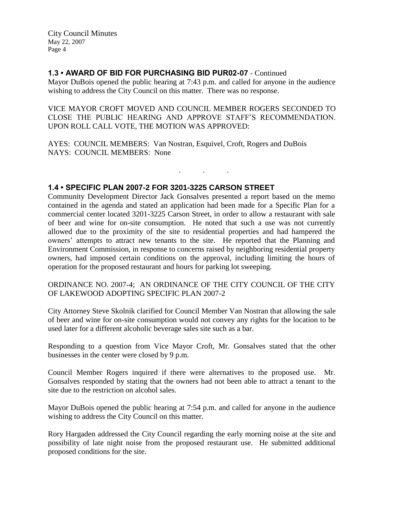# **1.3 • AWARD OF BID FOR PURCHASING BID PUR02-07** - Continued

Mayor DuBois opened the public hearing at 7:43 p.m. and called for anyone in the audience wishing to address the City Council on this matter. There was no response.

VICE MAYOR CROFT MOVED AND COUNCIL MEMBER ROGERS SECONDED TO CLOSE THE PUBLIC HEARING AND APPROVE STAFF'S RECOMMENDATION. UPON ROLL CALL VOTE, THE MOTION WAS APPROVED:

. . .

AYES: COUNCIL MEMBERS: Van Nostran, Esquivel, Croft, Rogers and DuBois NAYS: COUNCIL MEMBERS: None

### **1.4 • SPECIFIC PLAN 2007-2 FOR 3201-3225 CARSON STREET**

Community Development Director Jack Gonsalves presented a report based on the memo contained in the agenda and stated an application had been made for a Specific Plan for a commercial center located 3201-3225 Carson Street, in order to allow a restaurant with sale of beer and wine for on-site consumption. He noted that such a use was not currently allowed due to the proximity of the site to residential properties and had hampered the owners' attempts to attract new tenants to the site. He reported that the Planning and Environment Commission, in response to concerns raised by neighboring residential property owners, had imposed certain conditions on the approval, including limiting the hours of operation for the proposed restaurant and hours for parking lot sweeping.

ORDINANCE NO. 2007-4; AN ORDINANCE OF THE CITY COUNCIL OF THE CITY OF LAKEWOOD ADOPTING SPECIFIC PLAN 2007-2

City Attorney Steve Skolnik clarified for Council Member Van Nostran that allowing the sale of beer and wine for on-site consumption would not convey any rights for the location to be used later for a different alcoholic beverage sales site such as a bar.

Responding to a question from Vice Mayor Croft, Mr. Gonsalves stated that the other businesses in the center were closed by 9 p.m.

Council Member Rogers inquired if there were alternatives to the proposed use. Mr. Gonsalves responded by stating that the owners had not been able to attract a tenant to the site due to the restriction on alcohol sales.

Mayor DuBois opened the public hearing at 7:54 p.m. and called for anyone in the audience wishing to address the City Council on this matter.

Rory Hargaden addressed the City Council regarding the early morning noise at the site and possibility of late night noise from the proposed restaurant use. He submitted additional proposed conditions for the site.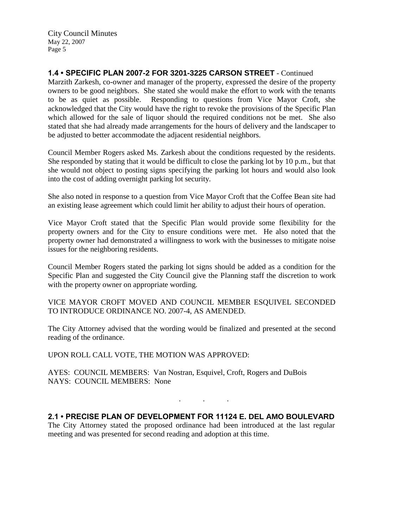# **1.4 • SPECIFIC PLAN 2007-2 FOR 3201-3225 CARSON STREET** - Continued

Marzith Zarkesh, co-owner and manager of the property, expressed the desire of the property owners to be good neighbors. She stated she would make the effort to work with the tenants to be as quiet as possible. Responding to questions from Vice Mayor Croft, she acknowledged that the City would have the right to revoke the provisions of the Specific Plan which allowed for the sale of liquor should the required conditions not be met. She also stated that she had already made arrangements for the hours of delivery and the landscaper to be adjusted to better accommodate the adjacent residential neighbors.

Council Member Rogers asked Ms. Zarkesh about the conditions requested by the residents. She responded by stating that it would be difficult to close the parking lot by 10 p.m., but that she would not object to posting signs specifying the parking lot hours and would also look into the cost of adding overnight parking lot security.

She also noted in response to a question from Vice Mayor Croft that the Coffee Bean site had an existing lease agreement which could limit her ability to adjust their hours of operation.

Vice Mayor Croft stated that the Specific Plan would provide some flexibility for the property owners and for the City to ensure conditions were met. He also noted that the property owner had demonstrated a willingness to work with the businesses to mitigate noise issues for the neighboring residents.

Council Member Rogers stated the parking lot signs should be added as a condition for the Specific Plan and suggested the City Council give the Planning staff the discretion to work with the property owner on appropriate wording.

VICE MAYOR CROFT MOVED AND COUNCIL MEMBER ESQUIVEL SECONDED TO INTRODUCE ORDINANCE NO. 2007-4, AS AMENDED.

The City Attorney advised that the wording would be finalized and presented at the second reading of the ordinance.

UPON ROLL CALL VOTE, THE MOTION WAS APPROVED:

AYES: COUNCIL MEMBERS: Van Nostran, Esquivel, Croft, Rogers and DuBois NAYS: COUNCIL MEMBERS: None

### **2.1 • PRECISE PLAN OF DEVELOPMENT FOR 11124 E. DEL AMO BOULEVARD**

. . .

The City Attorney stated the proposed ordinance had been introduced at the last regular meeting and was presented for second reading and adoption at this time.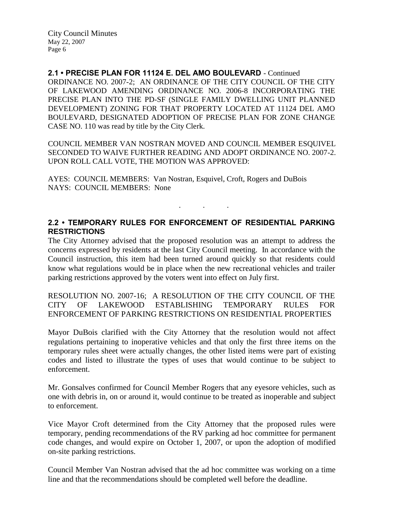**2.1 • PRECISE PLAN FOR 11124 E. DEL AMO BOULEVARD** - Continued ORDINANCE NO. 2007-2; AN ORDINANCE OF THE CITY COUNCIL OF THE CITY OF LAKEWOOD AMENDING ORDINANCE NO. 2006-8 INCORPORATING THE PRECISE PLAN INTO THE PD-SF (SINGLE FAMILY DWELLING UNIT PLANNED DEVELOPMENT) ZONING FOR THAT PROPERTY LOCATED AT 11124 DEL AMO BOULEVARD, DESIGNATED ADOPTION OF PRECISE PLAN FOR ZONE CHANGE CASE NO. 110 was read by title by the City Clerk.

COUNCIL MEMBER VAN NOSTRAN MOVED AND COUNCIL MEMBER ESQUIVEL SECONDED TO WAIVE FURTHER READING AND ADOPT ORDINANCE NO. 2007-2. UPON ROLL CALL VOTE, THE MOTION WAS APPROVED:

AYES: COUNCIL MEMBERS: Van Nostran, Esquivel, Croft, Rogers and DuBois NAYS: COUNCIL MEMBERS: None

# **2.2 • TEMPORARY RULES FOR ENFORCEMENT OF RESIDENTIAL PARKING RESTRICTIONS**

. . .

The City Attorney advised that the proposed resolution was an attempt to address the concerns expressed by residents at the last City Council meeting. In accordance with the Council instruction, this item had been turned around quickly so that residents could know what regulations would be in place when the new recreational vehicles and trailer parking restrictions approved by the voters went into effect on July first.

RESOLUTION NO. 2007-16; A RESOLUTION OF THE CITY COUNCIL OF THE CITY OF LAKEWOOD ESTABLISHING TEMPORARY RULES FOR ENFORCEMENT OF PARKING RESTRICTIONS ON RESIDENTIAL PROPERTIES

Mayor DuBois clarified with the City Attorney that the resolution would not affect regulations pertaining to inoperative vehicles and that only the first three items on the temporary rules sheet were actually changes, the other listed items were part of existing codes and listed to illustrate the types of uses that would continue to be subject to enforcement.

Mr. Gonsalves confirmed for Council Member Rogers that any eyesore vehicles, such as one with debris in, on or around it, would continue to be treated as inoperable and subject to enforcement.

Vice Mayor Croft determined from the City Attorney that the proposed rules were temporary, pending recommendations of the RV parking ad hoc committee for permanent code changes, and would expire on October 1, 2007, or upon the adoption of modified on-site parking restrictions.

Council Member Van Nostran advised that the ad hoc committee was working on a time line and that the recommendations should be completed well before the deadline.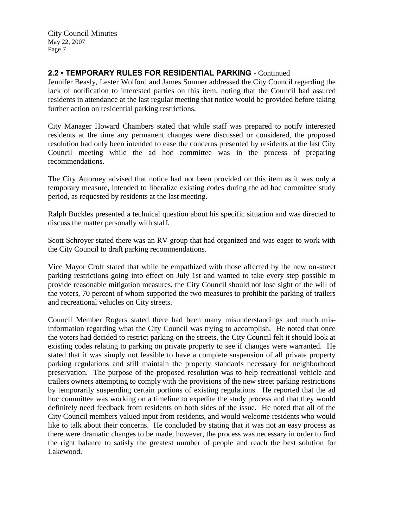# **2.2 • TEMPORARY RULES FOR RESIDENTIAL PARKING** - Continued

Jennifer Beasly, Lester Wolford and James Sumner addressed the City Council regarding the lack of notification to interested parties on this item, noting that the Council had assured residents in attendance at the last regular meeting that notice would be provided before taking further action on residential parking restrictions.

City Manager Howard Chambers stated that while staff was prepared to notify interested residents at the time any permanent changes were discussed or considered, the proposed resolution had only been intended to ease the concerns presented by residents at the last City Council meeting while the ad hoc committee was in the process of preparing recommendations.

The City Attorney advised that notice had not been provided on this item as it was only a temporary measure, intended to liberalize existing codes during the ad hoc committee study period, as requested by residents at the last meeting.

Ralph Buckles presented a technical question about his specific situation and was directed to discuss the matter personally with staff.

Scott Schroyer stated there was an RV group that had organized and was eager to work with the City Council to draft parking recommendations.

Vice Mayor Croft stated that while he empathized with those affected by the new on-street parking restrictions going into effect on July 1st and wanted to take every step possible to provide reasonable mitigation measures, the City Council should not lose sight of the will of the voters, 70 percent of whom supported the two measures to prohibit the parking of trailers and recreational vehicles on City streets.

Council Member Rogers stated there had been many misunderstandings and much misinformation regarding what the City Council was trying to accomplish. He noted that once the voters had decided to restrict parking on the streets, the City Council felt it should look at existing codes relating to parking on private property to see if changes were warranted. He stated that it was simply not feasible to have a complete suspension of all private property parking regulations and still maintain the property standards necessary for neighborhood preservation. The purpose of the proposed resolution was to help recreational vehicle and trailers owners attempting to comply with the provisions of the new street parking restrictions by temporarily suspending certain portions of existing regulations. He reported that the ad hoc committee was working on a timeline to expedite the study process and that they would definitely need feedback from residents on both sides of the issue. He noted that all of the City Council members valued input from residents, and would welcome residents who would like to talk about their concerns. He concluded by stating that it was not an easy process as there were dramatic changes to be made, however, the process was necessary in order to find the right balance to satisfy the greatest number of people and reach the best solution for Lakewood.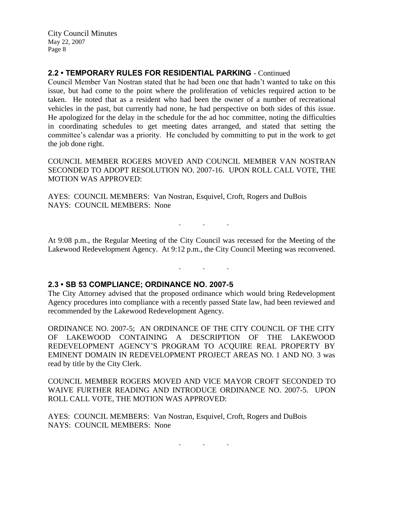# **2.2 • TEMPORARY RULES FOR RESIDENTIAL PARKING** - Continued

Council Member Van Nostran stated that he had been one that hadn't wanted to take on this issue, but had come to the point where the proliferation of vehicles required action to be taken. He noted that as a resident who had been the owner of a number of recreational vehicles in the past, but currently had none, he had perspective on both sides of this issue. He apologized for the delay in the schedule for the ad hoc committee, noting the difficulties in coordinating schedules to get meeting dates arranged, and stated that setting the committee's calendar was a priority. He concluded by committing to put in the work to get the job done right.

COUNCIL MEMBER ROGERS MOVED AND COUNCIL MEMBER VAN NOSTRAN SECONDED TO ADOPT RESOLUTION NO. 2007-16. UPON ROLL CALL VOTE, THE MOTION WAS APPROVED:

AYES: COUNCIL MEMBERS: Van Nostran, Esquivel, Croft, Rogers and DuBois NAYS: COUNCIL MEMBERS: None

At 9:08 p.m., the Regular Meeting of the City Council was recessed for the Meeting of the Lakewood Redevelopment Agency. At 9:12 p.m., the City Council Meeting was reconvened.

. . .

. . .

### **2.3 • SB 53 COMPLIANCE; ORDINANCE NO. 2007-5**

The City Attorney advised that the proposed ordinance which would bring Redevelopment Agency procedures into compliance with a recently passed State law, had been reviewed and recommended by the Lakewood Redevelopment Agency.

ORDINANCE NO. 2007-5; AN ORDINANCE OF THE CITY COUNCIL OF THE CITY OF LAKEWOOD CONTAINING A DESCRIPTION OF THE LAKEWOOD REDEVELOPMENT AGENCY'S PROGRAM TO ACQUIRE REAL PROPERTY BY EMINENT DOMAIN IN REDEVELOPMENT PROJECT AREAS NO. 1 AND NO. 3 was read by title by the City Clerk.

COUNCIL MEMBER ROGERS MOVED AND VICE MAYOR CROFT SECONDED TO WAIVE FURTHER READING AND INTRODUCE ORDINANCE NO. 2007-5. UPON ROLL CALL VOTE, THE MOTION WAS APPROVED:

AYES: COUNCIL MEMBERS: Van Nostran, Esquivel, Croft, Rogers and DuBois NAYS: COUNCIL MEMBERS: None

 $\mathbf{r}$  .  $\mathbf{r}$  ,  $\mathbf{r}$  ,  $\mathbf{r}$  ,  $\mathbf{r}$  ,  $\mathbf{r}$  ,  $\mathbf{r}$  ,  $\mathbf{r}$